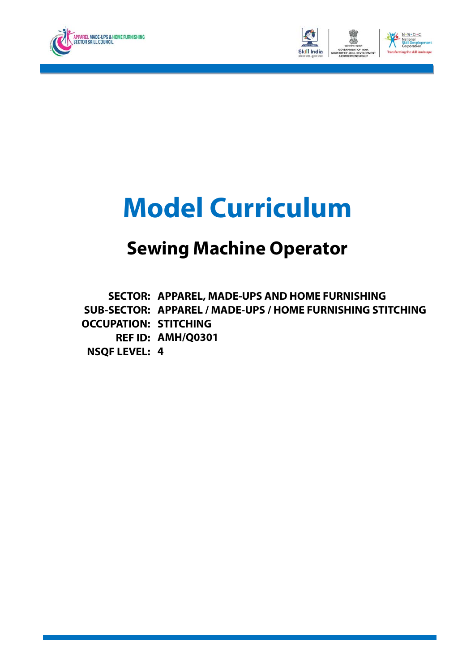



# **Model Curriculum**

## **Sewing Machine Operator**

**SECTOR: APPAREL, MADE-UPS AND HOME FURNISHING SUB-SECTOR: APPAREL / MADE-UPS / HOME FURNISHING STITCHING OCCUPATION: STITCHING REF ID: AMH/Q0301 NSQF LEVEL: 4**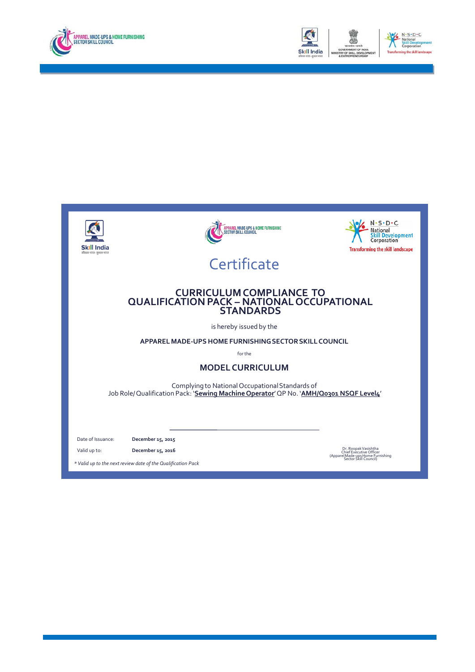



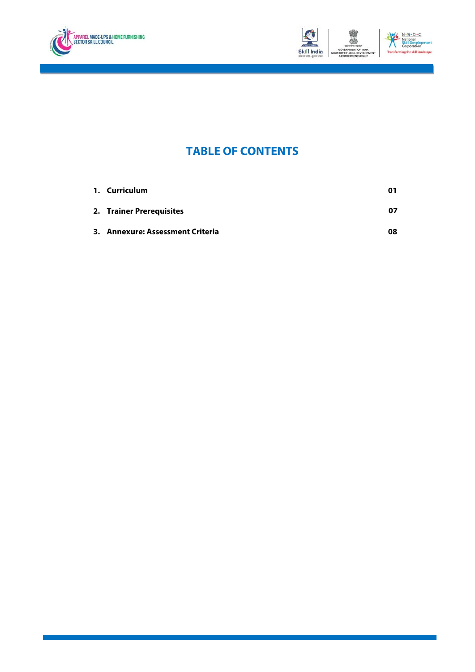



### **TABLE OF CONTENTS**

| 1. Curriculum                    | 01 |
|----------------------------------|----|
| 2. Trainer Prerequisites         | 07 |
| 3. Annexure: Assessment Criteria | 08 |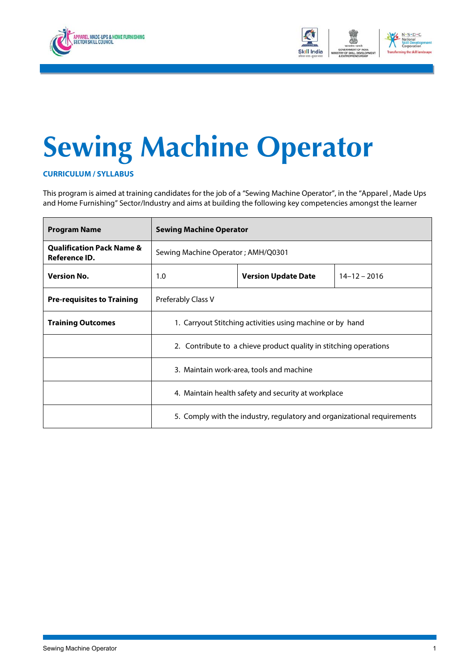<span id="page-3-0"></span>



# **Sewing Machine Operator**

**CURRICULUM / SYLLABUS**

This program is aimed at training candidates for the job of a "Sewing Machine Operator", in the "Apparel , Made Ups and Home Furnishing" Sector/Industry and aims at building the following key competencies amongst the learner

| <b>Program Name</b>                                   | <b>Sewing Machine Operator</b>                                          |  |  |  |  |  |
|-------------------------------------------------------|-------------------------------------------------------------------------|--|--|--|--|--|
| <b>Qualification Pack Name &amp;</b><br>Reference ID. | Sewing Machine Operator; AMH/Q0301                                      |  |  |  |  |  |
| <b>Version No.</b>                                    | $14 - 12 - 2016$<br><b>Version Update Date</b><br>1.0                   |  |  |  |  |  |
| <b>Pre-requisites to Training</b>                     | Preferably Class V                                                      |  |  |  |  |  |
| <b>Training Outcomes</b>                              | 1. Carryout Stitching activities using machine or by hand               |  |  |  |  |  |
|                                                       | 2. Contribute to a chieve product quality in stitching operations       |  |  |  |  |  |
|                                                       | 3. Maintain work-area, tools and machine                                |  |  |  |  |  |
|                                                       | 4. Maintain health safety and security at workplace                     |  |  |  |  |  |
|                                                       | 5. Comply with the industry, regulatory and organizational requirements |  |  |  |  |  |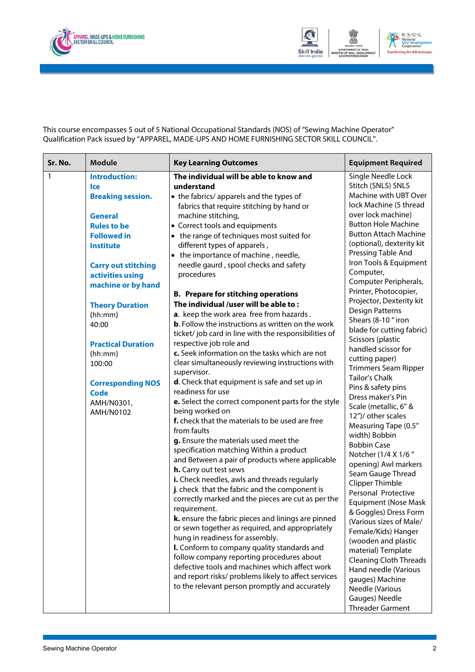



This course encompasses 5 out of 5 National Occupational Standards (NOS) of "Sewing Machine Operator" Qualification Pack issued by "APPAREL, MADE-UPS AND HOME FURNISHING SECTOR SKILL COUNCIL".

| Sr. No.      | <b>Module</b>                                                                                                                                                                                                                                                                                                                                                                    | <b>Key Learning Outcomes</b>                                                                                                                                                                                                                                                                                                                                                                                                                                                                                                                                                                                                                                                                                                                                                                                                                                                                                                                                                                                                                                                                                                                                                                                                                                                                                                                                                                                                                                                                                                                                                                                                                                                                                                                                    | <b>Equipment Required</b>                                                                                                                                                                                                                                                                                                                                                                                                                                                                                                                                                                                                                                                                                                                                                                                                                                                                                                                                                                                                                                                                                        |
|--------------|----------------------------------------------------------------------------------------------------------------------------------------------------------------------------------------------------------------------------------------------------------------------------------------------------------------------------------------------------------------------------------|-----------------------------------------------------------------------------------------------------------------------------------------------------------------------------------------------------------------------------------------------------------------------------------------------------------------------------------------------------------------------------------------------------------------------------------------------------------------------------------------------------------------------------------------------------------------------------------------------------------------------------------------------------------------------------------------------------------------------------------------------------------------------------------------------------------------------------------------------------------------------------------------------------------------------------------------------------------------------------------------------------------------------------------------------------------------------------------------------------------------------------------------------------------------------------------------------------------------------------------------------------------------------------------------------------------------------------------------------------------------------------------------------------------------------------------------------------------------------------------------------------------------------------------------------------------------------------------------------------------------------------------------------------------------------------------------------------------------------------------------------------------------|------------------------------------------------------------------------------------------------------------------------------------------------------------------------------------------------------------------------------------------------------------------------------------------------------------------------------------------------------------------------------------------------------------------------------------------------------------------------------------------------------------------------------------------------------------------------------------------------------------------------------------------------------------------------------------------------------------------------------------------------------------------------------------------------------------------------------------------------------------------------------------------------------------------------------------------------------------------------------------------------------------------------------------------------------------------------------------------------------------------|
| $\mathbf{1}$ | <b>Introduction:</b><br>lce<br><b>Breaking session.</b><br><b>General</b><br><b>Rules to be</b><br><b>Followed in</b><br><b>Institute</b><br><b>Carry out stitching</b><br>activities using<br>machine or by hand<br><b>Theory Duration</b><br>(hh:mm)<br>40:00<br><b>Practical Duration</b><br>(hh:mm)<br>100:00<br><b>Corresponding NOS</b><br>Code<br>AMH/N0301,<br>AMH/N0102 | The individual will be able to know and<br>understand<br>• the fabrics/ apparels and the types of<br>fabrics that require stitching by hand or<br>machine stitching,<br>• Correct tools and equipments<br>• the range of techniques most suited for<br>different types of apparels,<br>• the importance of machine, needle,<br>needle gaurd, spool checks and safety<br>procedures<br><b>B. Prepare for stitching operations</b><br>The individual /user will be able to:<br>a. keep the work area free from hazards.<br><b>b.</b> Follow the instructions as written on the work<br>ticket/job card in line with the responsibilities of<br>respective job role and<br>c. Seek information on the tasks which are not<br>clear simultaneously reviewing instructions with<br>supervisor.<br><b>d</b> . Check that equipment is safe and set up in<br>readiness for use<br>e. Select the correct component parts for the style<br>being worked on<br>f. check that the materials to be used are free<br>from faults<br>g. Ensure the materials used meet the<br>specification matching Within a product<br>and Between a pair of products where applicable<br>h. Carry out test sews<br>i. Check needles, awls and threads regularly<br>j. check that the fabric and the component is<br>correctly marked and the pieces are cut as per the<br>requirement.<br>k. ensure the fabric pieces and linings are pinned<br>or sewn together as required, and appropriately<br>hung in readiness for assembly.<br>I. Conform to company quality standards and<br>follow company reporting procedures about<br>defective tools and machines which affect work<br>and report risks/ problems likely to affect services<br>to the relevant person promptly and accurately | Single Needle Lock<br>Stitch (SNLS) SNLS<br>Machine with UBT Over<br>lock Machine (5 thread<br>over lock machine)<br><b>Button Hole Machine</b><br><b>Button Attach Machine</b><br>(optional), dexterity kit<br>Pressing Table And<br>Iron Tools & Equipment<br>Computer,<br>Computer Peripherals,<br>Printer, Photocopier,<br>Projector, Dexterity kit<br>Design Patterns<br>Shears (8-10 " iron<br>blade for cutting fabric)<br>Scissors (plastic<br>handled scissor for<br>cutting paper)<br>Trimmers Seam Ripper<br><b>Tailor's Chalk</b><br>Pins & safety pins<br>Dress maker's Pin<br>Scale (metallic, 6" &<br>12")/ other scales<br>Measuring Tape (0.5"<br>width) Bobbin<br><b>Bobbin Case</b><br>Notcher (1/4 X 1/6"<br>opening) Awl markers<br>Seam Gauge Thread<br><b>Clipper Thimble</b><br>Personal Protective<br>Equipment (Nose Mask<br>& Goggles) Dress Form<br>(Various sizes of Male/<br>Female/Kids) Hanger<br>(wooden and plastic<br>material) Template<br>Cleaning Cloth Threads<br>Hand needle (Various<br>gauges) Machine<br>Needle (Various<br>Gauges) Needle<br><b>Threader Garment</b> |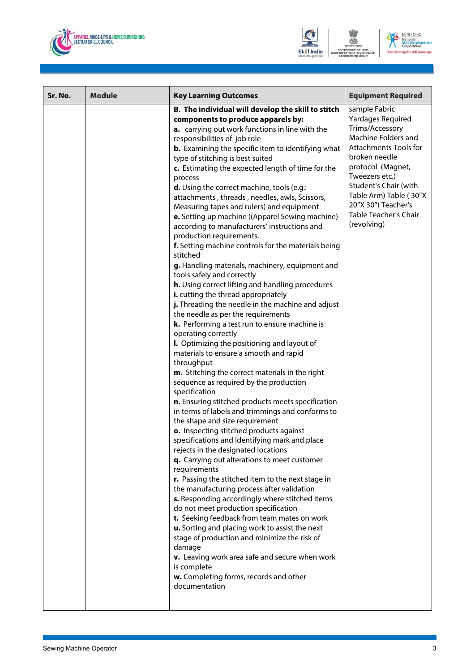





| Sr. No. | <b>Module</b> | <b>Key Learning Outcomes</b>                                                                                                                                                                                                                                                                                                                                                                                                                                                                                                                                                                                                                                                                                                                                                                                                                                                                                                                                                                                                                                                                                                                                                                                                                                                                                                                                                                                                                                                                                                                                                                                                                                                                                                                                                                                                                                                                                                                                                                                                                                                                      | <b>Equipment Required</b>                                                                                                                                                                                                                                                                     |
|---------|---------------|---------------------------------------------------------------------------------------------------------------------------------------------------------------------------------------------------------------------------------------------------------------------------------------------------------------------------------------------------------------------------------------------------------------------------------------------------------------------------------------------------------------------------------------------------------------------------------------------------------------------------------------------------------------------------------------------------------------------------------------------------------------------------------------------------------------------------------------------------------------------------------------------------------------------------------------------------------------------------------------------------------------------------------------------------------------------------------------------------------------------------------------------------------------------------------------------------------------------------------------------------------------------------------------------------------------------------------------------------------------------------------------------------------------------------------------------------------------------------------------------------------------------------------------------------------------------------------------------------------------------------------------------------------------------------------------------------------------------------------------------------------------------------------------------------------------------------------------------------------------------------------------------------------------------------------------------------------------------------------------------------------------------------------------------------------------------------------------------------|-----------------------------------------------------------------------------------------------------------------------------------------------------------------------------------------------------------------------------------------------------------------------------------------------|
|         |               | B. The individual will develop the skill to stitch<br>components to produce apparels by:<br>a. carrying out work functions in line with the<br>responsibilities of job role<br><b>b.</b> Examining the specific item to identifying what<br>type of stitching is best suited<br>c. Estimating the expected length of time for the<br>process<br>d. Using the correct machine, tools (e.g.:<br>attachments, threads, needles, awls, Scissors,<br>Measuring tapes and rulers) and equipment<br>e. Setting up machine ((Apparel Sewing machine)<br>according to manufacturers' instructions and<br>production requirements.<br>f. Setting machine controls for the materials being<br>stitched<br>g. Handling materials, machinery, equipment and<br>tools safely and correctly<br>h. Using correct lifting and handling procedures<br>i. cutting the thread appropriately<br>j. Threading the needle in the machine and adjust<br>the needle as per the requirements<br>k. Performing a test run to ensure machine is<br>operating correctly<br>I. Optimizing the positioning and layout of<br>materials to ensure a smooth and rapid<br>throughput<br>m. Stitching the correct materials in the right<br>sequence as required by the production<br>specification<br>n. Ensuring stitched products meets specification<br>in terms of labels and trimmings and conforms to<br>the shape and size requirement<br>o. Inspecting stitched products against<br>specifications and Identifying mark and place<br>rejects in the designated locations<br>q. Carrying out alterations to meet customer<br>requirements<br>r. Passing the stitched item to the next stage in<br>the manufacturing process after validation<br>s. Responding accordingly where stitched items<br>do not meet production specification<br>t. Seeking feedback from team mates on work<br>u. Sorting and placing work to assist the next<br>stage of production and minimize the risk of<br>damage<br>v. Leaving work area safe and secure when work<br>is complete<br>w. Completing forms, records and other<br>documentation | sample Fabric<br>Yardages Required<br>Trims/Accessory<br>Machine Folders and<br><b>Attachments Tools for</b><br>broken needle<br>protocol (Magnet,<br>Tweezers etc.)<br><b>Student's Chair (with</b><br>Table Arm) Table (30"X<br>20"X 30") Teacher's<br>Table Teacher's Chair<br>(revolving) |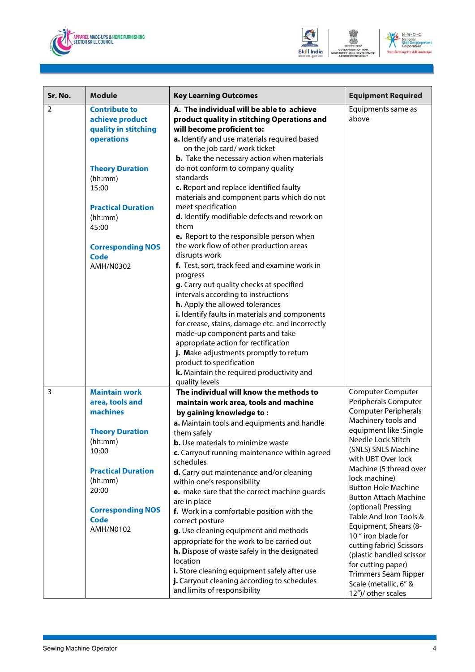





| Sr. No. | <b>Module</b>                                                                                                                                                                      | <b>Key Learning Outcomes</b>                                                                                                                                                                                                                                                                                                                                                                                                                                                                                                                                                                                                                                                                                                                                                                                         | <b>Equipment Required</b>                                                                                                                                                                                                                                                                                                                                                                                      |
|---------|------------------------------------------------------------------------------------------------------------------------------------------------------------------------------------|----------------------------------------------------------------------------------------------------------------------------------------------------------------------------------------------------------------------------------------------------------------------------------------------------------------------------------------------------------------------------------------------------------------------------------------------------------------------------------------------------------------------------------------------------------------------------------------------------------------------------------------------------------------------------------------------------------------------------------------------------------------------------------------------------------------------|----------------------------------------------------------------------------------------------------------------------------------------------------------------------------------------------------------------------------------------------------------------------------------------------------------------------------------------------------------------------------------------------------------------|
| 2       | <b>Contribute to</b><br>achieve product<br>quality in stitching<br>operations                                                                                                      | A. The individual will be able to achieve<br>product quality in stitching Operations and<br>will become proficient to:<br>a. Identify and use materials required based<br>on the job card/ work ticket<br><b>b.</b> Take the necessary action when materials                                                                                                                                                                                                                                                                                                                                                                                                                                                                                                                                                         | Equipments same as<br>above                                                                                                                                                                                                                                                                                                                                                                                    |
|         | <b>Theory Duration</b><br>(hh:mm)<br>15:00<br><b>Practical Duration</b><br>(hh:mm)<br>45:00<br><b>Corresponding NOS</b><br><b>Code</b><br>AMH/N0302                                | do not conform to company quality<br>standards<br>c. Report and replace identified faulty<br>materials and component parts which do not<br>meet specification<br>d. Identify modifiable defects and rework on<br>them<br>e. Report to the responsible person when<br>the work flow of other production areas<br>disrupts work<br>f. Test, sort, track feed and examine work in<br>progress<br>g. Carry out quality checks at specified<br>intervals according to instructions<br>h. Apply the allowed tolerances<br>i. Identify faults in materials and components<br>for crease, stains, damage etc. and incorrectly<br>made-up component parts and take<br>appropriate action for rectification<br>j. Make adjustments promptly to return<br>product to specification<br>k. Maintain the required productivity and |                                                                                                                                                                                                                                                                                                                                                                                                                |
| 3       | <b>Maintain work</b>                                                                                                                                                               | quality levels<br>The individual will know the methods to                                                                                                                                                                                                                                                                                                                                                                                                                                                                                                                                                                                                                                                                                                                                                            | <b>Computer Computer</b>                                                                                                                                                                                                                                                                                                                                                                                       |
|         | area, tools and<br>machines<br><b>Theory Duration</b><br>(hh:mm)<br>10:00<br><b>Practical Duration</b><br>(hh:mm)<br>20:00<br><b>Corresponding NOS</b><br><b>Code</b><br>AMH/N0102 | maintain work area, tools and machine<br>by gaining knowledge to:<br>a. Maintain tools and equipments and handle<br>them safely<br><b>b.</b> Use materials to minimize waste<br>c. Carryout running maintenance within agreed<br>schedules<br>d. Carry out maintenance and/or cleaning<br>within one's responsibility<br>e. make sure that the correct machine quards<br>are in place<br>f. Work in a comfortable position with the<br>correct posture<br>g. Use cleaning equipment and methods<br>appropriate for the work to be carried out                                                                                                                                                                                                                                                                        | Peripherals Computer<br><b>Computer Peripherals</b><br>Machinery tools and<br>equipment like : Single<br>Needle Lock Stitch<br>(SNLS) SNLS Machine<br>with UBT Over lock<br>Machine (5 thread over<br>lock machine)<br><b>Button Hole Machine</b><br><b>Button Attach Machine</b><br>(optional) Pressing<br>Table And Iron Tools &<br>Equipment, Shears (8-<br>10 " iron blade for<br>cutting fabric) Scissors |
|         |                                                                                                                                                                                    | h. Dispose of waste safely in the designated<br>location<br>i. Store cleaning equipment safely after use<br>j. Carryout cleaning according to schedules<br>and limits of responsibility                                                                                                                                                                                                                                                                                                                                                                                                                                                                                                                                                                                                                              | (plastic handled scissor<br>for cutting paper)<br><b>Trimmers Seam Ripper</b><br>Scale (metallic, 6" &<br>12")/ other scales                                                                                                                                                                                                                                                                                   |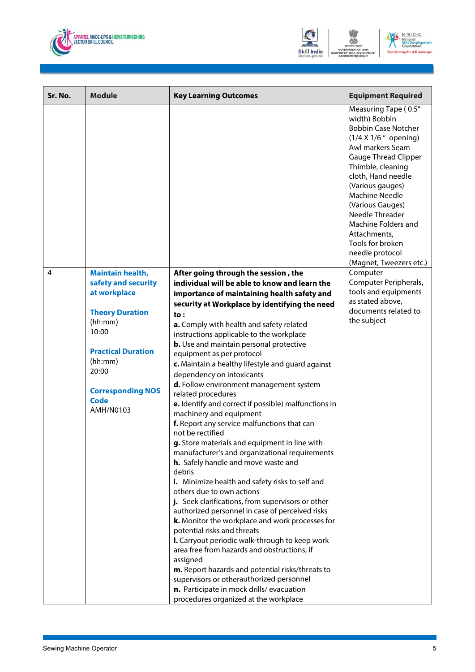



| Sr. No. | <b>Module</b>                    | <b>Key Learning Outcomes</b>                                                                         | <b>Equipment Required</b>                                                                                                                                                                                                                                                                                                                                                               |
|---------|----------------------------------|------------------------------------------------------------------------------------------------------|-----------------------------------------------------------------------------------------------------------------------------------------------------------------------------------------------------------------------------------------------------------------------------------------------------------------------------------------------------------------------------------------|
|         |                                  |                                                                                                      | Measuring Tape (0.5"<br>width) Bobbin<br><b>Bobbin Case Notcher</b><br>(1/4 X 1/6 " opening)<br>Awl markers Seam<br><b>Gauge Thread Clipper</b><br>Thimble, cleaning<br>cloth, Hand needle<br>(Various gauges)<br><b>Machine Needle</b><br>(Various Gauges)<br>Needle Threader<br>Machine Folders and<br>Attachments,<br>Tools for broken<br>needle protocol<br>(Magnet, Tweezers etc.) |
| 4       | <b>Maintain health,</b>          | After going through the session, the                                                                 | Computer                                                                                                                                                                                                                                                                                                                                                                                |
|         | safety and security              | individual will be able to know and learn the                                                        | Computer Peripherals,                                                                                                                                                                                                                                                                                                                                                                   |
|         | at workplace                     | importance of maintaining health safety and                                                          | tools and equipments<br>as stated above,                                                                                                                                                                                                                                                                                                                                                |
|         | <b>Theory Duration</b>           | security at Workplace by identifying the need<br>to:                                                 | documents related to                                                                                                                                                                                                                                                                                                                                                                    |
|         | (hh:mm)                          | a. Comply with health and safety related                                                             | the subject                                                                                                                                                                                                                                                                                                                                                                             |
|         | 10:00                            | instructions applicable to the workplace                                                             |                                                                                                                                                                                                                                                                                                                                                                                         |
|         | <b>Practical Duration</b>        | <b>b.</b> Use and maintain personal protective                                                       |                                                                                                                                                                                                                                                                                                                                                                                         |
|         | (hh:mm)                          | equipment as per protocol<br>c. Maintain a healthy lifestyle and guard against                       |                                                                                                                                                                                                                                                                                                                                                                                         |
|         | 20:00                            | dependency on intoxicants                                                                            |                                                                                                                                                                                                                                                                                                                                                                                         |
|         |                                  | d. Follow environment management system                                                              |                                                                                                                                                                                                                                                                                                                                                                                         |
|         | <b>Corresponding NOS</b><br>Code | related procedures                                                                                   |                                                                                                                                                                                                                                                                                                                                                                                         |
|         | AMH/N0103                        | e. Identify and correct if possible) malfunctions in<br>machinery and equipment                      |                                                                                                                                                                                                                                                                                                                                                                                         |
|         |                                  | f. Report any service malfunctions that can                                                          |                                                                                                                                                                                                                                                                                                                                                                                         |
|         |                                  | not be rectified                                                                                     |                                                                                                                                                                                                                                                                                                                                                                                         |
|         |                                  | g. Store materials and equipment in line with                                                        |                                                                                                                                                                                                                                                                                                                                                                                         |
|         |                                  | manufacturer's and organizational requirements                                                       |                                                                                                                                                                                                                                                                                                                                                                                         |
|         |                                  | h. Safely handle and move waste and<br>debris                                                        |                                                                                                                                                                                                                                                                                                                                                                                         |
|         |                                  | i. Minimize health and safety risks to self and                                                      |                                                                                                                                                                                                                                                                                                                                                                                         |
|         |                                  | others due to own actions                                                                            |                                                                                                                                                                                                                                                                                                                                                                                         |
|         |                                  | j. Seek clarifications, from supervisors or other<br>authorized personnel in case of perceived risks |                                                                                                                                                                                                                                                                                                                                                                                         |
|         |                                  | k. Monitor the workplace and work processes for                                                      |                                                                                                                                                                                                                                                                                                                                                                                         |
|         |                                  | potential risks and threats                                                                          |                                                                                                                                                                                                                                                                                                                                                                                         |
|         |                                  | I. Carryout periodic walk-through to keep work                                                       |                                                                                                                                                                                                                                                                                                                                                                                         |
|         |                                  | area free from hazards and obstructions, if<br>assigned                                              |                                                                                                                                                                                                                                                                                                                                                                                         |
|         |                                  | m. Report hazards and potential risks/threats to                                                     |                                                                                                                                                                                                                                                                                                                                                                                         |
|         |                                  | supervisors or otherauthorized personnel                                                             |                                                                                                                                                                                                                                                                                                                                                                                         |
|         |                                  | n. Participate in mock drills/evacuation                                                             |                                                                                                                                                                                                                                                                                                                                                                                         |
|         |                                  | procedures organized at the workplace                                                                |                                                                                                                                                                                                                                                                                                                                                                                         |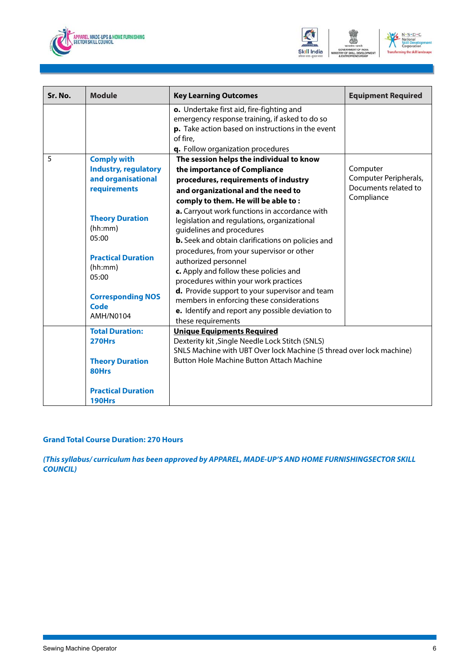



| Sr. No. | <b>Module</b>                                                                                                                                                                                                                           | <b>Key Learning Outcomes</b>                                                                                                                                                                                                                                                                                                                                                                                                                                                                                                                                                                                                                                                                                     | <b>Equipment Required</b>                                               |
|---------|-----------------------------------------------------------------------------------------------------------------------------------------------------------------------------------------------------------------------------------------|------------------------------------------------------------------------------------------------------------------------------------------------------------------------------------------------------------------------------------------------------------------------------------------------------------------------------------------------------------------------------------------------------------------------------------------------------------------------------------------------------------------------------------------------------------------------------------------------------------------------------------------------------------------------------------------------------------------|-------------------------------------------------------------------------|
|         |                                                                                                                                                                                                                                         | o. Undertake first aid, fire-fighting and<br>emergency response training, if asked to do so<br>p. Take action based on instructions in the event<br>of fire,<br>q. Follow organization procedures                                                                                                                                                                                                                                                                                                                                                                                                                                                                                                                |                                                                         |
| 5       | <b>Comply with</b><br><b>Industry, regulatory</b><br>and organisational<br>requirements<br><b>Theory Duration</b><br>(hh:mm)<br>05:00<br><b>Practical Duration</b><br>(hh:mm)<br>05:00<br><b>Corresponding NOS</b><br>Code<br>AMH/N0104 | The session helps the individual to know<br>the importance of Compliance<br>procedures, requirements of industry<br>and organizational and the need to<br>comply to them. He will be able to:<br>a. Carryout work functions in accordance with<br>legislation and regulations, organizational<br>guidelines and procedures<br>b. Seek and obtain clarifications on policies and<br>procedures, from your supervisor or other<br>authorized personnel<br>c. Apply and follow these policies and<br>procedures within your work practices<br>d. Provide support to your supervisor and team<br>members in enforcing these considerations<br>e. Identify and report any possible deviation to<br>these requirements | Computer<br>Computer Peripherals,<br>Documents related to<br>Compliance |
|         | <b>Total Duration:</b><br>270Hrs<br><b>Theory Duration</b><br><b>80Hrs</b><br><b>Practical Duration</b><br>190Hrs                                                                                                                       | <b>Unique Equipments Required</b><br>Dexterity kit , Single Needle Lock Stitch (SNLS)<br>SNLS Machine with UBT Over lock Machine (5 thread over lock machine)<br><b>Button Hole Machine Button Attach Machine</b>                                                                                                                                                                                                                                                                                                                                                                                                                                                                                                |                                                                         |

#### **Grand Total Course Duration: 270 Hours**

*(This syllabus/ curriculum has been approved by APPAREL, MADE-UP'S AND HOME FURNISHINGSECTOR SKILL COUNCIL)*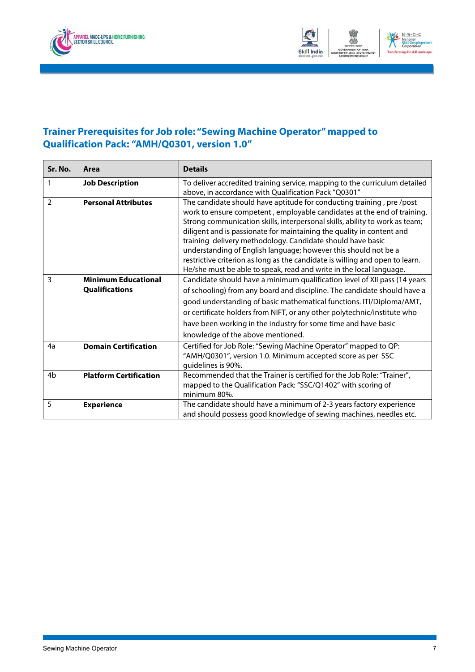<span id="page-9-0"></span>



### **Trainer Prerequisites for Job role: "Sewing Machine Operator" mapped to Qualification Pack: "AMH/Q0301, version 1.0"**

| Sr. No.        | Area                          | <b>Details</b>                                                                                                                                                                                                                                                                                                                                                                                                                                                                                                                                                                                  |
|----------------|-------------------------------|-------------------------------------------------------------------------------------------------------------------------------------------------------------------------------------------------------------------------------------------------------------------------------------------------------------------------------------------------------------------------------------------------------------------------------------------------------------------------------------------------------------------------------------------------------------------------------------------------|
| 1              | <b>Job Description</b>        | To deliver accredited training service, mapping to the curriculum detailed<br>above, in accordance with Qualification Pack "Q0301"                                                                                                                                                                                                                                                                                                                                                                                                                                                              |
| $\mathcal{P}$  | <b>Personal Attributes</b>    | The candidate should have aptitude for conducting training, pre/post<br>work to ensure competent, employable candidates at the end of training.<br>Strong communication skills, interpersonal skills, ability to work as team;<br>diligent and is passionate for maintaining the quality in content and<br>training delivery methodology. Candidate should have basic<br>understanding of English language; however this should not be a<br>restrictive criterion as long as the candidate is willing and open to learn.<br>He/she must be able to speak, read and write in the local language. |
| 3              | <b>Minimum Educational</b>    | Candidate should have a minimum qualification level of XII pass (14 years                                                                                                                                                                                                                                                                                                                                                                                                                                                                                                                       |
|                | <b>Qualifications</b>         | of schooling) from any board and discipline. The candidate should have a                                                                                                                                                                                                                                                                                                                                                                                                                                                                                                                        |
|                |                               | good understanding of basic mathematical functions. ITI/Diploma/AMT,                                                                                                                                                                                                                                                                                                                                                                                                                                                                                                                            |
|                |                               | or certificate holders from NIFT, or any other polytechnic/institute who                                                                                                                                                                                                                                                                                                                                                                                                                                                                                                                        |
|                |                               | have been working in the industry for some time and have basic                                                                                                                                                                                                                                                                                                                                                                                                                                                                                                                                  |
|                |                               | knowledge of the above mentioned.                                                                                                                                                                                                                                                                                                                                                                                                                                                                                                                                                               |
| 4a             | <b>Domain Certification</b>   | Certified for Job Role: "Sewing Machine Operator" mapped to QP:<br>"AMH/Q0301", version 1.0. Minimum accepted score as per SSC<br>guidelines is 90%.                                                                                                                                                                                                                                                                                                                                                                                                                                            |
| 4 <sub>b</sub> | <b>Platform Certification</b> | Recommended that the Trainer is certified for the Job Role: "Trainer",<br>mapped to the Qualification Pack: "SSC/Q1402" with scoring of<br>minimum 80%.                                                                                                                                                                                                                                                                                                                                                                                                                                         |
| 5              | <b>Experience</b>             | The candidate should have a minimum of 2-3 years factory experience<br>and should possess good knowledge of sewing machines, needles etc.                                                                                                                                                                                                                                                                                                                                                                                                                                                       |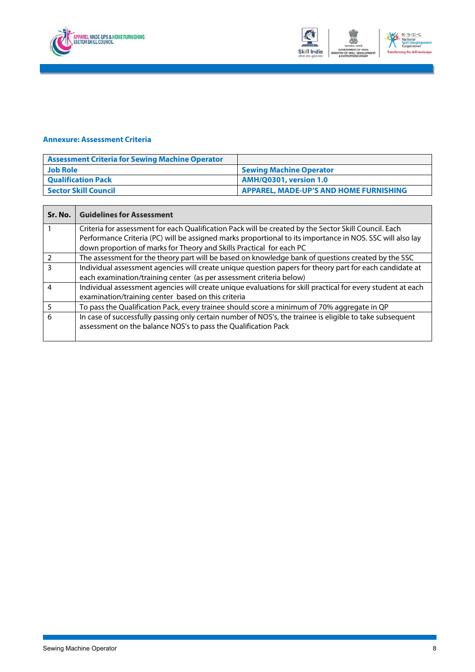<span id="page-10-0"></span>



#### **Annexure: Assessment Criteria**

| <b>Assessment Criteria for Sewing Machine Operator</b> |                                        |
|--------------------------------------------------------|----------------------------------------|
| <b>Job Role</b>                                        | <b>Sewing Machine Operator</b>         |
| <b>Qualification Pack</b>                              | <b>AMH/Q0301, version 1.0</b>          |
| <b>Sector Skill Council</b>                            | APPAREL, MADE-UP'S AND HOME FURNISHING |

| Sr. No.        | <b>Guidelines for Assessment</b>                                                                            |
|----------------|-------------------------------------------------------------------------------------------------------------|
|                | Criteria for assessment for each Qualification Pack will be created by the Sector Skill Council. Each       |
|                | Performance Criteria (PC) will be assigned marks proportional to its importance in NOS. SSC will also lay   |
|                | down proportion of marks for Theory and Skills Practical for each PC                                        |
| 2              | The assessment for the theory part will be based on knowledge bank of questions created by the SSC          |
| 3              | Individual assessment agencies will create unique question papers for theory part for each candidate at     |
|                | each examination/training center (as per assessment criteria below)                                         |
| $\overline{4}$ | Individual assessment agencies will create unique evaluations for skill practical for every student at each |
|                | examination/training center based on this criteria                                                          |
|                | To pass the Qualification Pack, every trainee should score a minimum of 70% aggregate in QP                 |
| 6              | In case of successfully passing only certain number of NOS's, the trainee is eligible to take subsequent    |
|                | assessment on the balance NOS's to pass the Qualification Pack                                              |
|                |                                                                                                             |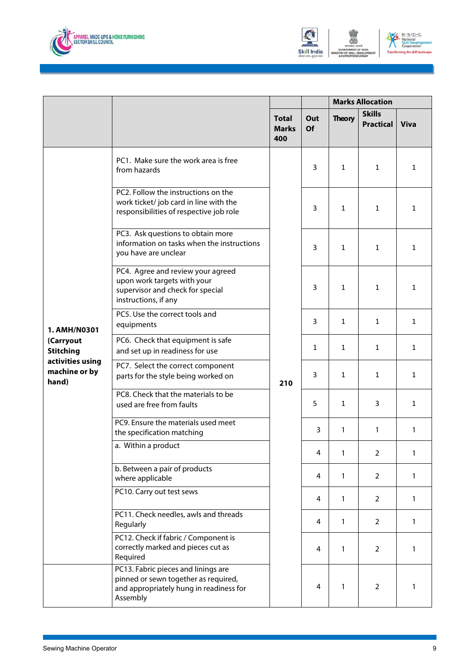



|                                            |                                                                                                                                    | <b>Marks Allocation</b>             |                  |               |                                   |              |
|--------------------------------------------|------------------------------------------------------------------------------------------------------------------------------------|-------------------------------------|------------------|---------------|-----------------------------------|--------------|
|                                            |                                                                                                                                    | <b>Total</b><br><b>Marks</b><br>400 | Out<br><b>Of</b> | <b>Theory</b> | <b>Skills</b><br><b>Practical</b> | <b>Viva</b>  |
|                                            | PC1. Make sure the work area is free<br>from hazards                                                                               | 210                                 | 3                | $\mathbf{1}$  | $\mathbf{1}$                      | 1            |
|                                            | PC2. Follow the instructions on the<br>work ticket/job card in line with the<br>responsibilities of respective job role            |                                     | 3                | $\mathbf{1}$  | 1                                 | $\mathbf{1}$ |
|                                            | PC3. Ask questions to obtain more<br>information on tasks when the instructions<br>you have are unclear                            |                                     | 3                | 1             | 1                                 | 1            |
|                                            | PC4. Agree and review your agreed<br>upon work targets with your<br>supervisor and check for special<br>instructions, if any       |                                     | 3                | $\mathbf{1}$  | 1                                 | $\mathbf{1}$ |
| 1. AMH/N0301                               | PC5. Use the correct tools and<br>equipments                                                                                       |                                     | 3                | 1             | 1                                 | $\mathbf{1}$ |
| (Carryout<br><b>Stitching</b>              | PC6. Check that equipment is safe<br>and set up in readiness for use                                                               |                                     | 1                | $\mathbf{1}$  | 1                                 | $\mathbf{1}$ |
| activities using<br>machine or by<br>hand) | PC7. Select the correct component<br>parts for the style being worked on                                                           |                                     | 3                | 1             | 1                                 | $\mathbf{1}$ |
|                                            | PC8. Check that the materials to be<br>used are free from faults                                                                   |                                     | 5                | 1             | 3                                 | $\mathbf{1}$ |
|                                            | PC9. Ensure the materials used meet<br>the specification matching                                                                  |                                     | $\overline{3}$   | $\mathbf{1}$  | $\mathbf{1}$                      | 1            |
|                                            | a. Within a product                                                                                                                |                                     | 4                | 1             | $\overline{2}$                    |              |
|                                            | b. Between a pair of products<br>where applicable                                                                                  |                                     | 4                | $\mathbf{1}$  | $\overline{2}$                    | 1            |
|                                            | PC10. Carry out test sews                                                                                                          |                                     | 4                | $\mathbf{1}$  | $\overline{2}$                    | $\mathbf{1}$ |
|                                            | PC11. Check needles, awls and threads<br>Regularly                                                                                 |                                     | 4                | $\mathbf{1}$  | 2                                 | 1            |
|                                            | PC12. Check if fabric / Component is<br>correctly marked and pieces cut as<br>Required                                             |                                     | 4                | $\mathbf{1}$  | 2                                 | 1            |
|                                            | PC13. Fabric pieces and linings are<br>pinned or sewn together as required,<br>and appropriately hung in readiness for<br>Assembly |                                     | 4                | $\mathbf{1}$  | $\overline{2}$                    | 1            |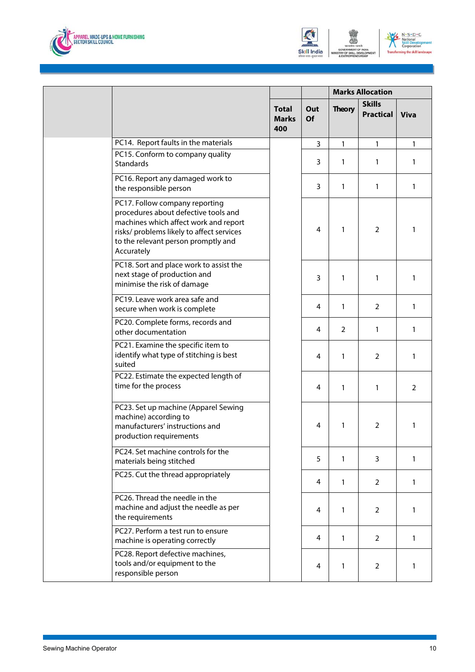





|                                                                                                                                                                                                                   |                                     | <b>Marks Allocation</b> |               |                            |             |
|-------------------------------------------------------------------------------------------------------------------------------------------------------------------------------------------------------------------|-------------------------------------|-------------------------|---------------|----------------------------|-------------|
|                                                                                                                                                                                                                   | <b>Total</b><br><b>Marks</b><br>400 | Out<br>Of               | <b>Theory</b> | <b>Skills</b><br>Practical | <b>Viva</b> |
| PC14. Report faults in the materials                                                                                                                                                                              |                                     | 3                       | 1             | 1                          | 1           |
| PC15. Conform to company quality<br>Standards                                                                                                                                                                     |                                     | 3                       | 1             | 1                          | 1           |
| PC16. Report any damaged work to<br>the responsible person                                                                                                                                                        |                                     | 3                       | 1             | 1                          | 1           |
| PC17. Follow company reporting<br>procedures about defective tools and<br>machines which affect work and report<br>risks/ problems likely to affect services<br>to the relevant person promptly and<br>Accurately |                                     | 4                       | 1             | 2                          | 1           |
| PC18. Sort and place work to assist the<br>next stage of production and<br>minimise the risk of damage                                                                                                            |                                     | 3                       | 1             | 1                          | 1           |
| PC19. Leave work area safe and<br>secure when work is complete                                                                                                                                                    |                                     | 4                       | $\mathbf{1}$  | $\overline{2}$             | 1           |
| PC20. Complete forms, records and<br>other documentation                                                                                                                                                          |                                     | 4                       | 2             | 1                          | 1           |
| PC21. Examine the specific item to<br>identify what type of stitching is best<br>suited                                                                                                                           |                                     | 4                       | 1             | $\overline{2}$             | 1           |
| PC22. Estimate the expected length of<br>time for the process                                                                                                                                                     |                                     | 4                       | 1             | 1                          | 2           |
| PC23. Set up machine (Apparel Sewing<br>machine) according to<br>manufacturers' instructions and<br>production requirements                                                                                       |                                     | 4                       | 1             | 2                          | 1           |
| PC24. Set machine controls for the<br>materials being stitched                                                                                                                                                    |                                     | 5                       | 1             | 3                          | 1           |
| PC25. Cut the thread appropriately                                                                                                                                                                                |                                     | 4                       | $\mathbf{1}$  | 2                          | 1           |
| PC26. Thread the needle in the<br>machine and adjust the needle as per<br>the requirements                                                                                                                        |                                     | 4                       | $\mathbf{1}$  | 2                          | 1           |
| PC27. Perform a test run to ensure<br>machine is operating correctly                                                                                                                                              |                                     | 4                       | $\mathbf{1}$  | $\overline{2}$             | 1           |
| PC28. Report defective machines,<br>tools and/or equipment to the<br>responsible person                                                                                                                           |                                     | 4                       | 1             | $\overline{2}$             | 1           |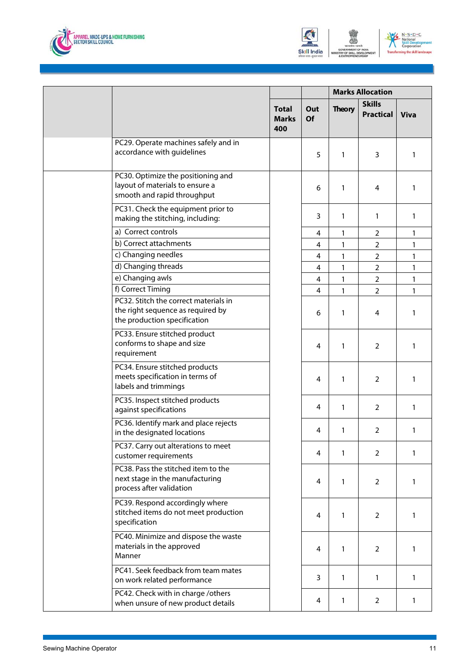





|  |                                                                                                            |                                     | <b>Marks Allocation</b> |               |                                   |             |
|--|------------------------------------------------------------------------------------------------------------|-------------------------------------|-------------------------|---------------|-----------------------------------|-------------|
|  |                                                                                                            | <b>Total</b><br><b>Marks</b><br>400 | Out<br><b>Of</b>        | <b>Theory</b> | <b>Skills</b><br><b>Practical</b> | <b>Viva</b> |
|  | PC29. Operate machines safely and in<br>accordance with guidelines                                         |                                     | 5                       | 1             | 3                                 | 1           |
|  | PC30. Optimize the positioning and<br>layout of materials to ensure a<br>smooth and rapid throughput       |                                     | 6                       | 1             | 4                                 | 1           |
|  | PC31. Check the equipment prior to<br>making the stitching, including:                                     |                                     | 3                       | 1             | 1                                 | 1           |
|  | a) Correct controls                                                                                        |                                     | 4                       | 1             | $\overline{2}$                    | 1           |
|  | b) Correct attachments                                                                                     |                                     | 4                       | 1             | $\overline{2}$                    | 1           |
|  | c) Changing needles                                                                                        |                                     | 4                       | 1             | $\overline{2}$                    | 1           |
|  | d) Changing threads                                                                                        |                                     | 4                       | 1             | $\overline{2}$                    | 1           |
|  | e) Changing awls                                                                                           |                                     | 4                       | 1             | $\overline{2}$                    | 1           |
|  | f) Correct Timing                                                                                          |                                     | 4                       | 1             | $\overline{2}$                    | 1           |
|  | PC32. Stitch the correct materials in<br>the right sequence as required by<br>the production specification |                                     | 6                       | 1             | $\overline{4}$                    | 1           |
|  | PC33. Ensure stitched product<br>conforms to shape and size<br>requirement                                 |                                     | 4                       | 1             | $\overline{2}$                    | 1           |
|  | PC34. Ensure stitched products<br>meets specification in terms of<br>labels and trimmings                  |                                     | 4                       | 1             | 2                                 | 1           |
|  | PC35. Inspect stitched products<br>against specifications                                                  |                                     | 4                       | 1             | 2                                 | 1           |
|  | PC36. Identify mark and place rejects<br>in the designated locations                                       |                                     | 4                       | 1             | 2                                 | 1           |
|  | PC37. Carry out alterations to meet<br>customer requirements                                               |                                     | 4                       | 1             | 2                                 | 1           |
|  | PC38. Pass the stitched item to the<br>next stage in the manufacturing<br>process after validation         |                                     | 4                       | 1             | 2                                 | 1           |
|  | PC39. Respond accordingly where<br>stitched items do not meet production<br>specification                  |                                     | 4                       | $\mathbf{1}$  | 2                                 | 1           |
|  | PC40. Minimize and dispose the waste<br>materials in the approved<br>Manner                                |                                     | 4                       | 1             | 2                                 | 1           |
|  | PC41. Seek feedback from team mates<br>on work related performance                                         |                                     | 3                       | $\mathbf{1}$  | $\mathbf{1}$                      | 1           |
|  | PC42. Check with in charge /others<br>when unsure of new product details                                   |                                     | 4                       | 1             | $\overline{2}$                    | 1           |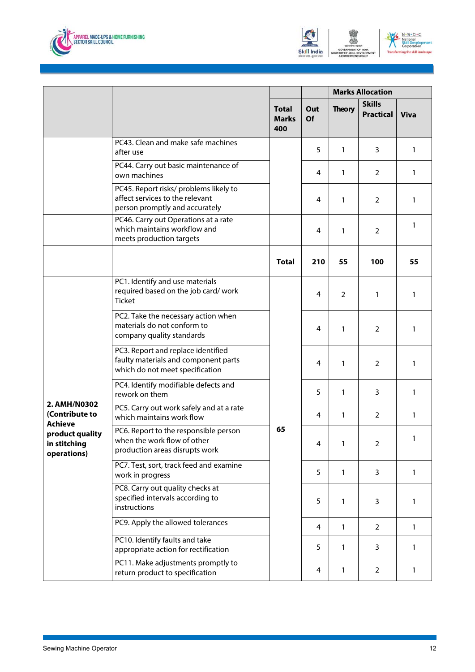





|                                                  |                                                                                                               |                                     |                  | <b>Marks Allocation</b> |                                   |             |
|--------------------------------------------------|---------------------------------------------------------------------------------------------------------------|-------------------------------------|------------------|-------------------------|-----------------------------------|-------------|
|                                                  |                                                                                                               | <b>Total</b><br><b>Marks</b><br>400 | Out<br><b>Of</b> | <b>Theory</b>           | <b>Skills</b><br><b>Practical</b> | <b>Viva</b> |
|                                                  | PC43. Clean and make safe machines<br>after use                                                               |                                     | 5                | $\mathbf{1}$            | 3                                 | 1           |
|                                                  | PC44. Carry out basic maintenance of<br>own machines                                                          |                                     | 4                | 1                       | 2                                 | 1           |
|                                                  | PC45. Report risks/ problems likely to<br>affect services to the relevant<br>person promptly and accurately   |                                     | 4                | 1                       | $\overline{2}$                    | 1           |
|                                                  | PC46. Carry out Operations at a rate<br>which maintains workflow and<br>meets production targets              |                                     | 4                | 1                       | $\overline{2}$                    | 1           |
|                                                  |                                                                                                               | <b>Total</b>                        | 210              | 55                      | 100                               | 55          |
|                                                  | PC1. Identify and use materials<br>required based on the job card/work<br><b>Ticket</b>                       |                                     | 4                | 2                       | 1                                 | 1           |
|                                                  | PC2. Take the necessary action when<br>materials do not conform to<br>company quality standards               |                                     | 4                | 1                       | 2                                 | 1           |
|                                                  | PC3. Report and replace identified<br>faulty materials and component parts<br>which do not meet specification |                                     | 4                | 1                       | 2                                 | 1           |
|                                                  | PC4. Identify modifiable defects and<br>rework on them                                                        |                                     | 5                | 1                       | 3                                 | 1           |
| 2. AMH/N0302<br>(Contribute to<br><b>Achieve</b> | PC5. Carry out work safely and at a rate<br>which maintains work flow                                         |                                     | 4                | 1                       | 2                                 | 1           |
| product quality<br>in stitching<br>operations)   | PC6. Report to the responsible person<br>when the work flow of other<br>production areas disrupts work        | 65                                  | 4                | 1                       | 2                                 | 1           |
|                                                  | PC7. Test, sort, track feed and examine<br>work in progress                                                   |                                     | 5                | $\mathbf{1}$            | 3                                 | 1           |
|                                                  | PC8. Carry out quality checks at<br>specified intervals according to<br>instructions                          |                                     | 5                | $\mathbf{1}$            | 3                                 | 1           |
|                                                  | PC9. Apply the allowed tolerances                                                                             |                                     | 4                | 1                       | $\overline{2}$                    | 1           |
|                                                  | PC10. Identify faults and take<br>appropriate action for rectification                                        |                                     | 5                | 1                       | 3                                 | 1           |
|                                                  | PC11. Make adjustments promptly to<br>return product to specification                                         |                                     | 4                | 1                       | 2                                 | 1           |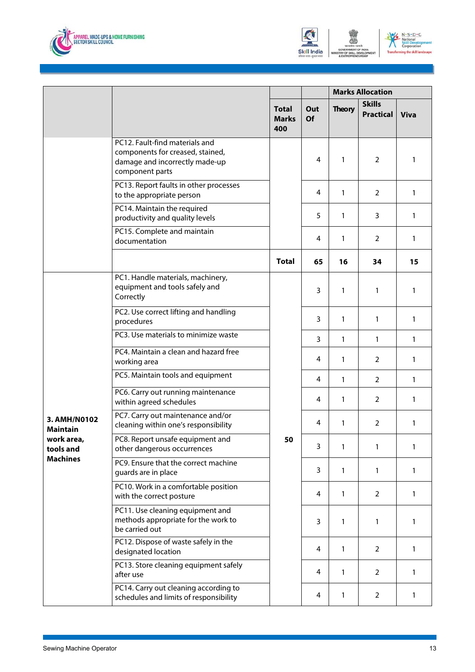





|                                 |                                                                                                                         |                                     |                  | <b>Marks Allocation</b> |                                   |              |  |
|---------------------------------|-------------------------------------------------------------------------------------------------------------------------|-------------------------------------|------------------|-------------------------|-----------------------------------|--------------|--|
|                                 |                                                                                                                         | <b>Total</b><br><b>Marks</b><br>400 | Out<br><b>Of</b> | <b>Theory</b>           | <b>Skills</b><br><b>Practical</b> | <b>Viva</b>  |  |
|                                 | PC12. Fault-find materials and<br>components for creased, stained,<br>damage and incorrectly made-up<br>component parts |                                     | 4                | 1                       | $\overline{2}$                    | 1            |  |
|                                 | PC13. Report faults in other processes<br>to the appropriate person                                                     |                                     | 4                | 1                       | $\overline{2}$                    | $\mathbf{1}$ |  |
|                                 | PC14. Maintain the required<br>productivity and quality levels                                                          |                                     | 5                | 1                       | 3                                 | $\mathbf{1}$ |  |
|                                 | PC15. Complete and maintain<br>documentation                                                                            |                                     | 4                | 1                       | $\overline{2}$                    | $\mathbf{1}$ |  |
|                                 |                                                                                                                         | <b>Total</b>                        | 65               | 16                      | 34                                | 15           |  |
|                                 | PC1. Handle materials, machinery,<br>equipment and tools safely and<br>Correctly                                        |                                     | 3                | 1                       | 1                                 | 1            |  |
|                                 | PC2. Use correct lifting and handling<br>procedures                                                                     |                                     | 3                | 1                       | 1                                 | $\mathbf{1}$ |  |
|                                 | PC3. Use materials to minimize waste                                                                                    |                                     | 3                | 1                       | 1                                 | 1            |  |
|                                 | PC4. Maintain a clean and hazard free<br>working area                                                                   |                                     | 4                | 1                       | $\overline{2}$                    | $\mathbf{1}$ |  |
|                                 | PC5. Maintain tools and equipment                                                                                       |                                     | 4                | $\mathbf{1}$            | $\overline{2}$                    | $\mathbf{1}$ |  |
|                                 | PC6. Carry out running maintenance<br>within agreed schedules                                                           |                                     | 4                | 1                       | 2                                 | 1            |  |
| 3. AMH/N0102<br><b>Maintain</b> | PC7. Carry out maintenance and/or<br>cleaning within one's responsibility                                               |                                     | 4                | 1                       | $\overline{2}$                    | 1            |  |
| work area,<br>tools and         | PC8. Report unsafe equipment and<br>other dangerous occurrences                                                         | 50                                  | 3                | $\mathbf{1}$            | 1                                 | 1            |  |
| <b>Machines</b>                 | PC9. Ensure that the correct machine<br>guards are in place                                                             |                                     | 3                | 1                       | 1                                 | $\mathbf{1}$ |  |
|                                 | PC10. Work in a comfortable position<br>with the correct posture                                                        |                                     | 4                | 1                       | $\overline{2}$                    | $\mathbf{1}$ |  |
|                                 | PC11. Use cleaning equipment and<br>methods appropriate for the work to<br>be carried out                               |                                     | 3                | 1                       | 1                                 | 1            |  |
|                                 | PC12. Dispose of waste safely in the<br>designated location                                                             |                                     | 4                | 1                       | $\overline{2}$                    | $\mathbf{1}$ |  |
|                                 | PC13. Store cleaning equipment safely<br>after use                                                                      |                                     | 4                | 1                       | 2                                 | 1            |  |
|                                 | PC14. Carry out cleaning according to<br>schedules and limits of responsibility                                         |                                     | 4                | 1                       | 2                                 | 1            |  |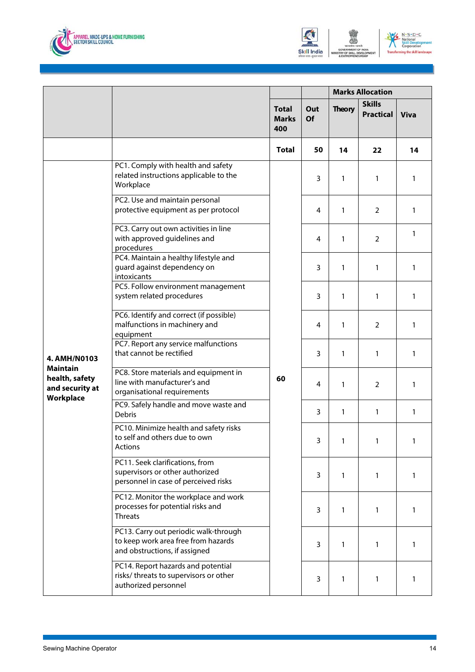





|                                                      |                                                                                                               |                                     |                  | <b>Marks Allocation</b> |                                   |              |  |
|------------------------------------------------------|---------------------------------------------------------------------------------------------------------------|-------------------------------------|------------------|-------------------------|-----------------------------------|--------------|--|
|                                                      |                                                                                                               | <b>Total</b><br><b>Marks</b><br>400 | Out<br><b>Of</b> | <b>Theory</b>           | <b>Skills</b><br><b>Practical</b> | <b>Viva</b>  |  |
|                                                      |                                                                                                               | <b>Total</b>                        | 50               | 14                      | 22                                | 14           |  |
|                                                      | PC1. Comply with health and safety<br>related instructions applicable to the<br>Workplace                     |                                     | 3                | 1                       | 1                                 | 1            |  |
|                                                      | PC2. Use and maintain personal<br>protective equipment as per protocol                                        |                                     | 4                | 1                       | 2                                 | 1            |  |
|                                                      | PC3. Carry out own activities in line<br>with approved guidelines and<br>procedures                           |                                     | 4                | 1                       | 2                                 | 1            |  |
|                                                      | PC4. Maintain a healthy lifestyle and<br>guard against dependency on<br>intoxicants                           |                                     | 3                | 1                       | 1                                 | 1            |  |
|                                                      | PC5. Follow environment management<br>system related procedures                                               | 60                                  | 3                | 1                       | 1                                 | 1            |  |
|                                                      | PC6. Identify and correct (if possible)<br>malfunctions in machinery and<br>equipment                         |                                     | 4                | 1                       | $\overline{2}$                    | 1            |  |
| 4. AMH/N0103                                         | PC7. Report any service malfunctions<br>that cannot be rectified                                              |                                     | 3                | 1                       | 1                                 | 1            |  |
| <b>Maintain</b><br>health, safety<br>and security at | PC8. Store materials and equipment in<br>line with manufacturer's and<br>organisational requirements          |                                     | 4                | 1                       | 2                                 | 1            |  |
| Workplace                                            | PC9. Safely handle and move waste and<br><b>Debris</b>                                                        |                                     | 3                | 1                       | 1                                 | 1            |  |
|                                                      | PC10. Minimize health and safety risks<br>to self and others due to own<br>Actions                            |                                     | $\mathbf{3}$     | $\mathbf{1}$            | 1                                 | 1            |  |
|                                                      | PC11. Seek clarifications, from<br>supervisors or other authorized<br>personnel in case of perceived risks    |                                     | 3                | $\mathbf{1}$            | 1                                 | $\mathbf{1}$ |  |
|                                                      | PC12. Monitor the workplace and work<br>processes for potential risks and<br><b>Threats</b>                   |                                     | 3                | 1                       | 1                                 | 1            |  |
|                                                      | PC13. Carry out periodic walk-through<br>to keep work area free from hazards<br>and obstructions, if assigned |                                     | 3                | $\mathbf{1}$            | 1                                 | 1            |  |
|                                                      | PC14. Report hazards and potential<br>risks/ threats to supervisors or other<br>authorized personnel          |                                     | 3                | 1                       | 1                                 | 1            |  |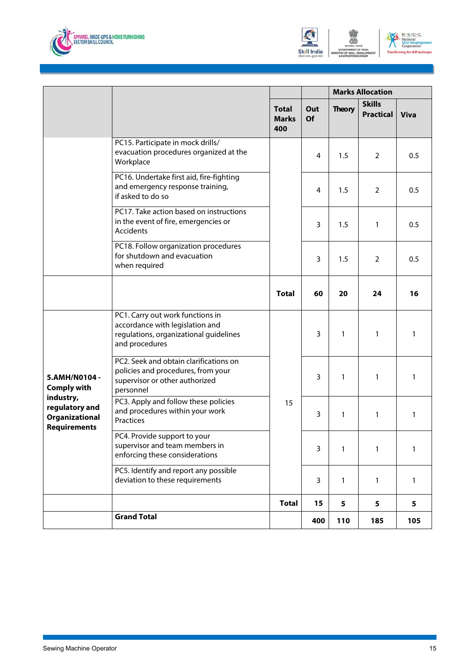





|                                                                                                                    |                                                                                                                                 |                                     | <b>Marks Allocation</b> |                 |                                   |             |
|--------------------------------------------------------------------------------------------------------------------|---------------------------------------------------------------------------------------------------------------------------------|-------------------------------------|-------------------------|-----------------|-----------------------------------|-------------|
|                                                                                                                    |                                                                                                                                 | <b>Total</b><br><b>Marks</b><br>400 | Out<br><b>Of</b>        | <b>Theory</b>   | <b>Skills</b><br><b>Practical</b> | <b>Viva</b> |
|                                                                                                                    | PC15. Participate in mock drills/<br>evacuation procedures organized at the<br>Workplace                                        |                                     | 4                       | 1.5             | 2                                 | 0.5         |
|                                                                                                                    | PC16. Undertake first aid, fire-fighting<br>and emergency response training,<br>if asked to do so                               |                                     | 4                       | 1.5             | $\overline{2}$                    | 0.5         |
|                                                                                                                    | PC17. Take action based on instructions<br>in the event of fire, emergencies or<br>Accidents                                    |                                     | 3                       | 1.5             | 1                                 | 0.5         |
|                                                                                                                    | PC18. Follow organization procedures<br>for shutdown and evacuation<br>when required                                            |                                     | 3                       | 1.5             | 2                                 | 0.5         |
|                                                                                                                    |                                                                                                                                 | <b>Total</b>                        | 60                      | 20              | 24                                | 16          |
| 5.AMH/N0104 -<br><b>Comply with</b><br>industry,<br>regulatory and<br><b>Organizational</b><br><b>Requirements</b> | PC1. Carry out work functions in<br>accordance with legislation and<br>regulations, organizational guidelines<br>and procedures |                                     | 3                       | 1               | 1                                 | 1           |
|                                                                                                                    | PC2. Seek and obtain clarifications on<br>policies and procedures, from your<br>supervisor or other authorized<br>personnel     |                                     | 3                       | 1               | 1                                 | 1           |
|                                                                                                                    | PC3. Apply and follow these policies<br>and procedures within your work<br>Practices                                            | 15                                  | 3                       | 1               | 1                                 | 1           |
|                                                                                                                    | PC4. Provide support to your<br>supervisor and team members in<br>enforcing these considerations                                |                                     | 3                       | 1               | 1                                 | 1           |
|                                                                                                                    | PC5. Identify and report any possible<br>deviation to these requirements                                                        |                                     | $\overline{3}$          | 1               | 1                                 | 1           |
|                                                                                                                    |                                                                                                                                 | <b>Total</b>                        | 15                      | $5\phantom{.0}$ | 5                                 | 5           |
|                                                                                                                    | <b>Grand Total</b>                                                                                                              |                                     | 400                     | 110             | 185                               | 105         |